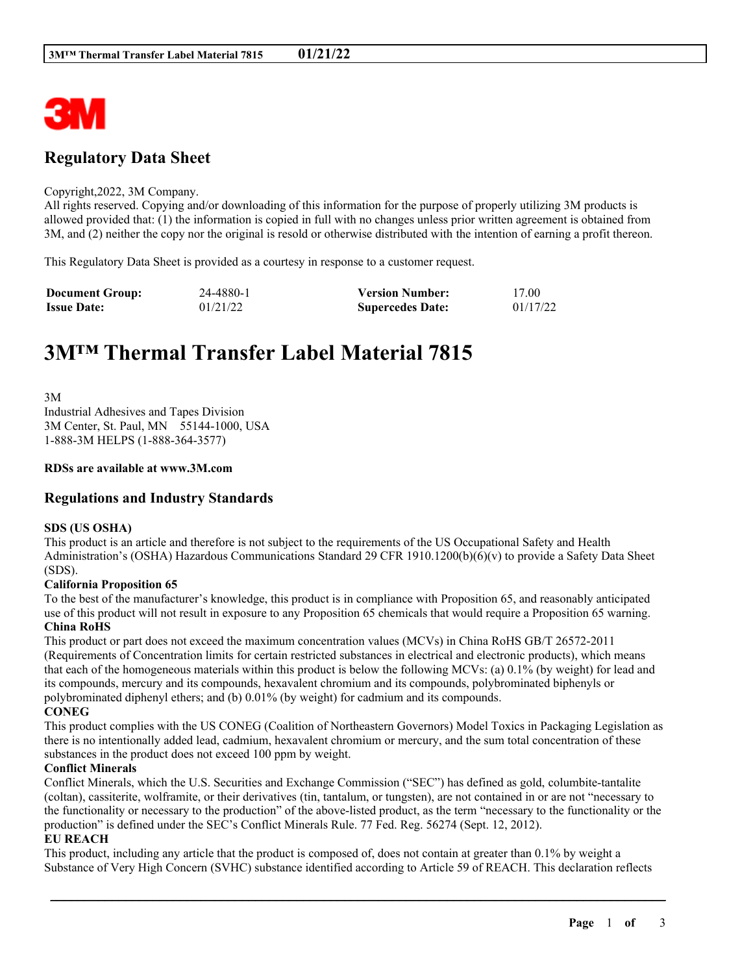

## **Regulatory Data Sheet**

#### Copyright,2022, 3M Company.

All rights reserved. Copying and/or downloading of this information for the purpose of properly utilizing 3M products is allowed provided that: (1) the information is copied in full with no changes unless prior written agreement is obtained from 3M, and (2) neither the copy nor the original is resold or otherwise distributed with the intention of earning a profit thereon.

This Regulatory Data Sheet is provided as a courtesy in response to a customer request.

| <b>Document Group:</b> | 24-4880-1 | <b>Version Number:</b>  | 17.00    |
|------------------------|-----------|-------------------------|----------|
| <b>Issue Date:</b>     | 01/21/22  | <b>Supercedes Date:</b> | 01/17/22 |

# **3M™ Thermal Transfer Label Material 7815**

3M Industrial Adhesives and Tapes Division 3M Center, St. Paul, MN 55144-1000, USA 1-888-3M HELPS (1-888-364-3577)

#### **RDSs are available at www.3M.com**

## **Regulations and Industry Standards**

#### **SDS (US OSHA)**

This product is an article and therefore is not subject to the requirements of the US Occupational Safety and Health Administration's (OSHA) Hazardous Communications Standard 29 CFR 1910.1200(b)(6)(v) to provide a Safety Data Sheet (SDS).

#### **California Proposition 65**

To the best of the manufacturer's knowledge, this product is in compliance with Proposition 65, and reasonably anticipated use of this product will not result in exposure to any Proposition 65 chemicals that would require a Proposition 65 warning. **China RoHS**

This product or part does not exceed the maximum concentration values (MCVs) in China RoHS GB/T 26572-2011 (Requirements of Concentration limits for certain restricted substances in electrical and electronic products), which means that each of the homogeneous materials within this product is below the following MCVs: (a) 0.1% (by weight) for lead and its compounds, mercury and its compounds, hexavalent chromium and its compounds, polybrominated biphenyls or polybrominated diphenyl ethers; and (b) 0.01% (by weight) for cadmium and its compounds. **CONEG**

This product complies with the US CONEG (Coalition of Northeastern Governors) Model Toxics in Packaging Legislation as there is no intentionally added lead, cadmium, hexavalent chromium or mercury, and the sum total concentration of these substances in the product does not exceed 100 ppm by weight.

## **Conflict Minerals**

Conflict Minerals, which the U.S. Securities and Exchange Commission ("SEC") has defined as gold, columbite-tantalite (coltan), cassiterite, wolframite, or their derivatives (tin, tantalum, or tungsten), are not contained in or are not "necessary to the functionality or necessary to the production" of the above-listed product, as the term "necessary to the functionality or the production" is defined under the SEC's Conflict Minerals Rule. 77 Fed. Reg. 56274 (Sept. 12, 2012).

#### **EU REACH**

This product, including any article that the product is composed of, does not contain at greater than 0.1% by weight a Substance of Very High Concern (SVHC) substance identified according to Article 59 of REACH. This declaration reflects

\_\_\_\_\_\_\_\_\_\_\_\_\_\_\_\_\_\_\_\_\_\_\_\_\_\_\_\_\_\_\_\_\_\_\_\_\_\_\_\_\_\_\_\_\_\_\_\_\_\_\_\_\_\_\_\_\_\_\_\_\_\_\_\_\_\_\_\_\_\_\_\_\_\_\_\_\_\_\_\_\_\_\_\_\_\_\_\_\_\_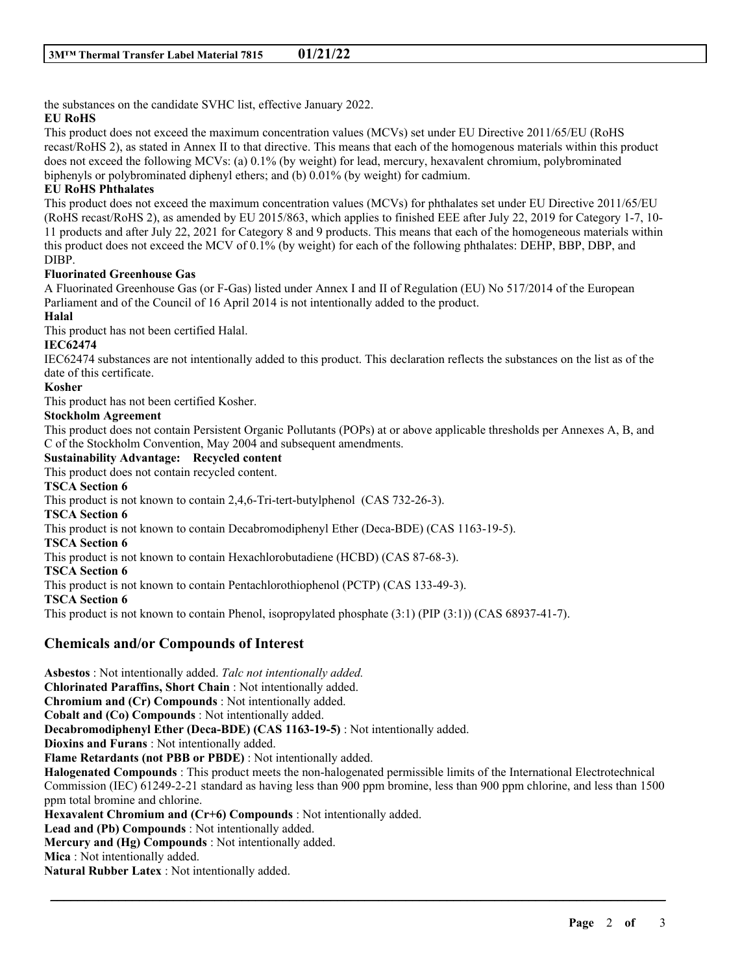the substances on the candidate SVHC list, effective January 2022.

## **EU RoHS**

This product does not exceed the maximum concentration values (MCVs) set under EU Directive 2011/65/EU (RoHS recast/RoHS 2), as stated in Annex II to that directive. This means that each of the homogenous materials within this product does not exceed the following MCVs: (a) 0.1% (by weight) for lead, mercury, hexavalent chromium, polybrominated biphenyls or polybrominated diphenyl ethers; and (b) 0.01% (by weight) for cadmium.

## **EU RoHS Phthalates**

This product does not exceed the maximum concentration values (MCVs) for phthalates set under EU Directive 2011/65/EU (RoHS recast/RoHS 2), as amended by EU 2015/863, which applies to finished EEE after July 22, 2019 for Category 1-7, 10- 11 products and after July 22, 2021 for Category 8 and 9 products. This means that each of the homogeneous materials within this product does not exceed the MCV of 0.1% (by weight) for each of the following phthalates: DEHP, BBP, DBP, and DIBP.

## **Fluorinated Greenhouse Gas**

A Fluorinated Greenhouse Gas (or F-Gas) listed under Annex I and II of Regulation (EU) No 517/2014 of the European Parliament and of the Council of 16 April 2014 is not intentionally added to the product.

## **Halal**

This product has not been certified Halal.

## **IEC62474**

IEC62474 substances are not intentionally added to this product. This declaration reflects the substances on the list as of the date of this certificate.

#### **Kosher**

This product has not been certified Kosher.

## **Stockholm Agreement**

This product does not contain Persistent Organic Pollutants (POPs) at or above applicable thresholds per Annexes A, B, and C of the Stockholm Convention, May 2004 and subsequent amendments.

## **Sustainability Advantage: Recycled content**

This product does not contain recycled content.

## **TSCA Section 6**

This product is not known to contain 2,4,6-Tri-tert-butylphenol (CAS 732-26-3).

**TSCA Section 6**

This product is not known to contain Decabromodiphenyl Ether (Deca-BDE) (CAS 1163-19-5).

#### **TSCA Section 6**

This product is not known to contain Hexachlorobutadiene (HCBD) (CAS 87-68-3).

#### **TSCA Section 6**

This product is not known to contain Pentachlorothiophenol (PCTP) (CAS 133-49-3).

**TSCA Section 6**

This product is not known to contain Phenol, isopropylated phosphate (3:1) (PIP (3:1)) (CAS 68937-41-7).

## **Chemicals and/or Compounds of Interest**

**Asbestos** : Not intentionally added. *Talc not intentionally added.* **Chlorinated Paraffins, Short Chain** : Not intentionally added. **Chromium and (Cr) Compounds** : Not intentionally added. **Cobalt and (Co) Compounds** : Not intentionally added. **Decabromodiphenyl Ether (Deca-BDE) (CAS 1163-19-5)** : Not intentionally added. **Dioxins and Furans** : Not intentionally added. **Flame Retardants (not PBB or PBDE)** : Not intentionally added. **Halogenated Compounds** : This product meets the non-halogenated permissible limits of the International Electrotechnical Commission (IEC) 61249-2-21 standard as having less than 900 ppm bromine, less than 900 ppm chlorine, and less than 1500 ppm total bromine and chlorine. **Hexavalent Chromium and (Cr+6) Compounds** : Not intentionally added. **Lead and (Pb) Compounds** : Not intentionally added. **Mercury and (Hg) Compounds** : Not intentionally added. **Mica** : Not intentionally added.

\_\_\_\_\_\_\_\_\_\_\_\_\_\_\_\_\_\_\_\_\_\_\_\_\_\_\_\_\_\_\_\_\_\_\_\_\_\_\_\_\_\_\_\_\_\_\_\_\_\_\_\_\_\_\_\_\_\_\_\_\_\_\_\_\_\_\_\_\_\_\_\_\_\_\_\_\_\_\_\_\_\_\_\_\_\_\_\_\_\_

**Natural Rubber Latex** : Not intentionally added.